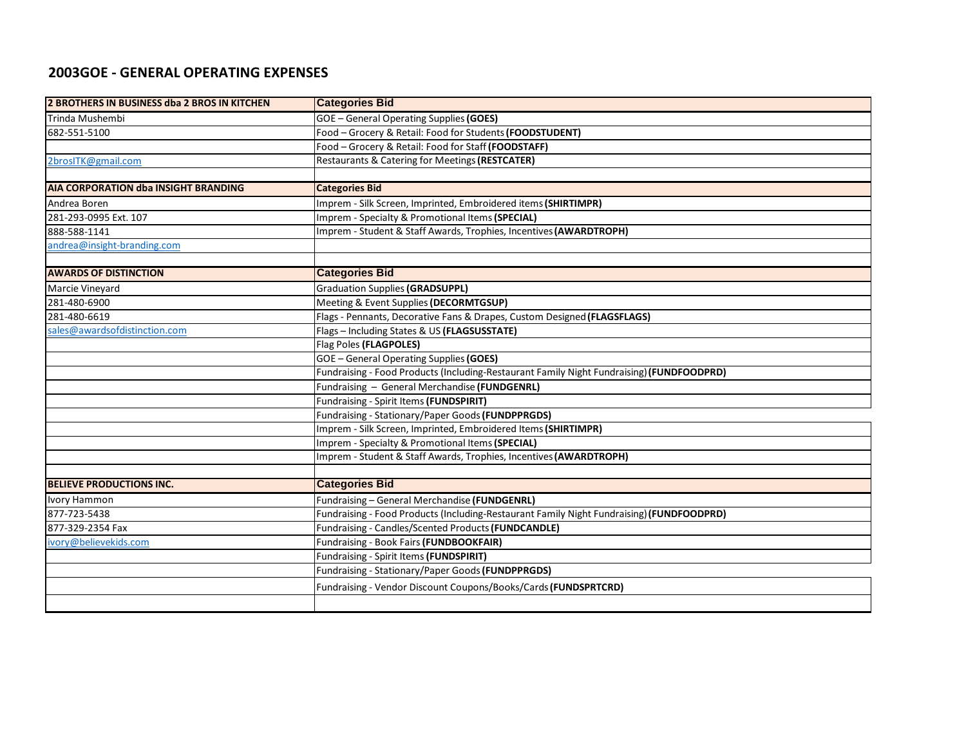## **2003GOE - GENERAL OPERATING EXPENSES**

| 2 BROTHERS IN BUSINESS dba 2 BROS IN KITCHEN | <b>Categories Bid</b>                                                                     |  |
|----------------------------------------------|-------------------------------------------------------------------------------------------|--|
| Trinda Mushembi                              | <b>GOE - General Operating Supplies (GOES)</b>                                            |  |
| 682-551-5100                                 | Food - Grocery & Retail: Food for Students (FOODSTUDENT)                                  |  |
|                                              | Food - Grocery & Retail: Food for Staff (FOODSTAFF)                                       |  |
| 2brosITK@gmail.com                           | Restaurants & Catering for Meetings (RESTCATER)                                           |  |
|                                              |                                                                                           |  |
| <b>AIA CORPORATION dba INSIGHT BRANDING</b>  | <b>Categories Bid</b>                                                                     |  |
| Andrea Boren                                 | Imprem - Silk Screen, Imprinted, Embroidered items (SHIRTIMPR)                            |  |
| 281-293-0995 Ext. 107                        | Imprem - Specialty & Promotional Items (SPECIAL)                                          |  |
| 888-588-1141                                 | Imprem - Student & Staff Awards, Trophies, Incentives (AWARDTROPH)                        |  |
| andrea@insight-branding.com                  |                                                                                           |  |
|                                              |                                                                                           |  |
| <b>AWARDS OF DISTINCTION</b>                 | <b>Categories Bid</b>                                                                     |  |
| Marcie Vineyard                              | <b>Graduation Supplies (GRADSUPPL)</b>                                                    |  |
| 281-480-6900                                 | Meeting & Event Supplies (DECORMTGSUP)                                                    |  |
| 281-480-6619                                 | Flags - Pennants, Decorative Fans & Drapes, Custom Designed (FLAGSFLAGS)                  |  |
| sales@awardsofdistinction.com                | Flags - Including States & US (FLAGSUSSTATE)                                              |  |
|                                              | Flag Poles (FLAGPOLES)                                                                    |  |
|                                              | GOE - General Operating Supplies (GOES)                                                   |  |
|                                              | Fundraising - Food Products (Including-Restaurant Family Night Fundraising) (FUNDFOODPRD) |  |
|                                              | Fundraising - General Merchandise (FUNDGENRL)                                             |  |
|                                              | Fundraising - Spirit Items (FUNDSPIRIT)                                                   |  |
|                                              | Fundraising - Stationary/Paper Goods (FUNDPPRGDS)                                         |  |
|                                              | Imprem - Silk Screen, Imprinted, Embroidered Items (SHIRTIMPR)                            |  |
|                                              | Imprem - Specialty & Promotional Items (SPECIAL)                                          |  |
|                                              | Imprem - Student & Staff Awards, Trophies, Incentives (AWARDTROPH)                        |  |
|                                              |                                                                                           |  |
| <b>BELIEVE PRODUCTIONS INC.</b>              | <b>Categories Bid</b>                                                                     |  |
| Ivory Hammon                                 | Fundraising - General Merchandise (FUNDGENRL)                                             |  |
| 877-723-5438                                 | Fundraising - Food Products (Including-Restaurant Family Night Fundraising) (FUNDFOODPRD) |  |
| 877-329-2354 Fax                             | Fundraising - Candles/Scented Products (FUNDCANDLE)                                       |  |
| ivory@believekids.com                        | Fundraising - Book Fairs (FUNDBOOKFAIR)                                                   |  |
|                                              | Fundraising - Spirit Items (FUNDSPIRIT)                                                   |  |
|                                              | Fundraising - Stationary/Paper Goods (FUNDPPRGDS)                                         |  |
|                                              | Fundraising - Vendor Discount Coupons/Books/Cards (FUNDSPRTCRD)                           |  |
|                                              |                                                                                           |  |
|                                              |                                                                                           |  |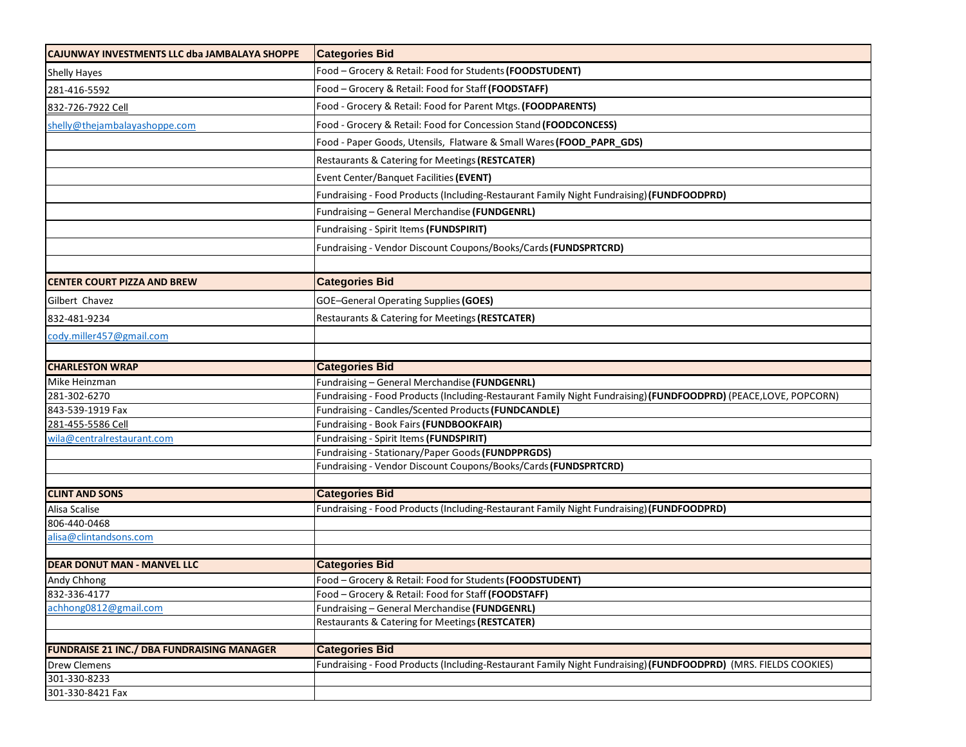| CAJUNWAY INVESTMENTS LLC dba JAMBALAYA SHOPPE     | <b>Categories Bid</b>                                                                                           |  |  |
|---------------------------------------------------|-----------------------------------------------------------------------------------------------------------------|--|--|
| <b>Shelly Hayes</b>                               | Food - Grocery & Retail: Food for Students (FOODSTUDENT)                                                        |  |  |
| 281-416-5592                                      | Food - Grocery & Retail: Food for Staff (FOODSTAFF)                                                             |  |  |
| 832-726-7922 Cell                                 | Food - Grocery & Retail: Food for Parent Mtgs. (FOODPARENTS)                                                    |  |  |
| shelly@thejambalayashoppe.com                     | Food - Grocery & Retail: Food for Concession Stand (FOODCONCESS)                                                |  |  |
|                                                   | Food - Paper Goods, Utensils, Flatware & Small Wares (FOOD_PAPR_GDS)                                            |  |  |
|                                                   | Restaurants & Catering for Meetings (RESTCATER)                                                                 |  |  |
|                                                   | Event Center/Banquet Facilities (EVENT)                                                                         |  |  |
|                                                   |                                                                                                                 |  |  |
|                                                   | Fundraising - Food Products (Including-Restaurant Family Night Fundraising) (FUNDFOODPRD)                       |  |  |
|                                                   | Fundraising - General Merchandise (FUNDGENRL)                                                                   |  |  |
|                                                   | Fundraising - Spirit Items (FUNDSPIRIT)                                                                         |  |  |
|                                                   | Fundraising - Vendor Discount Coupons/Books/Cards (FUNDSPRTCRD)                                                 |  |  |
|                                                   |                                                                                                                 |  |  |
| <b>CENTER COURT PIZZA AND BREW</b>                | <b>Categories Bid</b>                                                                                           |  |  |
| Gilbert Chavez                                    | <b>GOE-General Operating Supplies (GOES)</b>                                                                    |  |  |
| 832-481-9234                                      | Restaurants & Catering for Meetings (RESTCATER)                                                                 |  |  |
| cody.miller457@gmail.com                          |                                                                                                                 |  |  |
|                                                   |                                                                                                                 |  |  |
| <b>CHARLESTON WRAP</b>                            | <b>Categories Bid</b>                                                                                           |  |  |
| Mike Heinzman                                     | Fundraising - General Merchandise (FUNDGENRL)                                                                   |  |  |
| 281-302-6270                                      | Fundraising - Food Products (Including-Restaurant Family Night Fundraising) (FUNDFOODPRD) (PEACE,LOVE, POPCORN) |  |  |
| 843-539-1919 Fax                                  | Fundraising - Candles/Scented Products (FUNDCANDLE)                                                             |  |  |
| 281-455-5586 Cell                                 | Fundraising - Book Fairs (FUNDBOOKFAIR)                                                                         |  |  |
| wila@centralrestaurant.com                        | Fundraising - Spirit Items (FUNDSPIRIT)                                                                         |  |  |
|                                                   | Fundraising - Stationary/Paper Goods (FUNDPPRGDS)                                                               |  |  |
|                                                   | Fundraising - Vendor Discount Coupons/Books/Cards (FUNDSPRTCRD)                                                 |  |  |
| <b>CLINT AND SONS</b>                             | <b>Categories Bid</b>                                                                                           |  |  |
| Alisa Scalise                                     | Fundraising - Food Products (Including-Restaurant Family Night Fundraising) (FUNDFOODPRD)                       |  |  |
| 806-440-0468                                      |                                                                                                                 |  |  |
| alisa@clintandsons.com                            |                                                                                                                 |  |  |
|                                                   |                                                                                                                 |  |  |
| <b>DEAR DONUT MAN - MANVEL LLC</b>                | <b>Categories Bid</b>                                                                                           |  |  |
| Andy Chhong                                       | Food - Grocery & Retail: Food for Students (FOODSTUDENT)                                                        |  |  |
| 832-336-4177                                      | Food – Grocery & Retail: Food for Staff (FOODSTAFF)                                                             |  |  |
| achhong0812@gmail.com                             | Fundraising - General Merchandise (FUNDGENRL)                                                                   |  |  |
|                                                   | Restaurants & Catering for Meetings (RESTCATER)                                                                 |  |  |
|                                                   |                                                                                                                 |  |  |
| <b>FUNDRAISE 21 INC./ DBA FUNDRAISING MANAGER</b> | <b>Categories Bid</b>                                                                                           |  |  |
| <b>Drew Clemens</b>                               | Fundraising - Food Products (Including-Restaurant Family Night Fundraising) (FUNDFOODPRD) (MRS. FIELDS COOKIES) |  |  |
| 301-330-8233                                      |                                                                                                                 |  |  |
| 301-330-8421 Fax                                  |                                                                                                                 |  |  |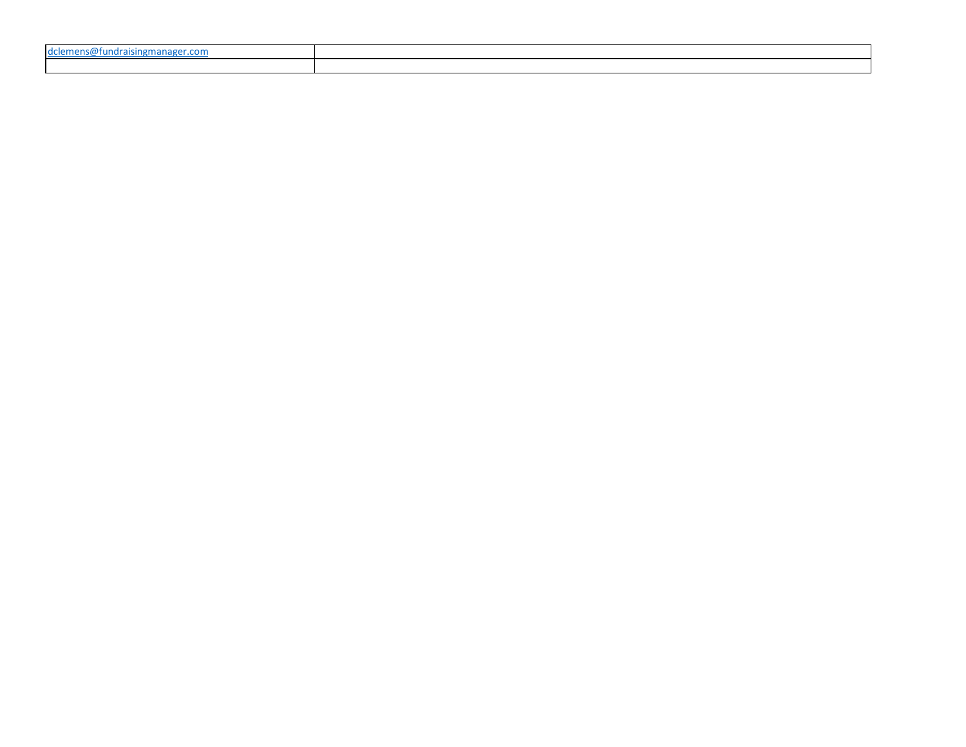| 10C<br>$\sim$ $\sim$ $\sim$ $\sim$ $\sim$ $\sim$<br>$\cdots$<br>.<br>. |  |
|------------------------------------------------------------------------|--|
|                                                                        |  |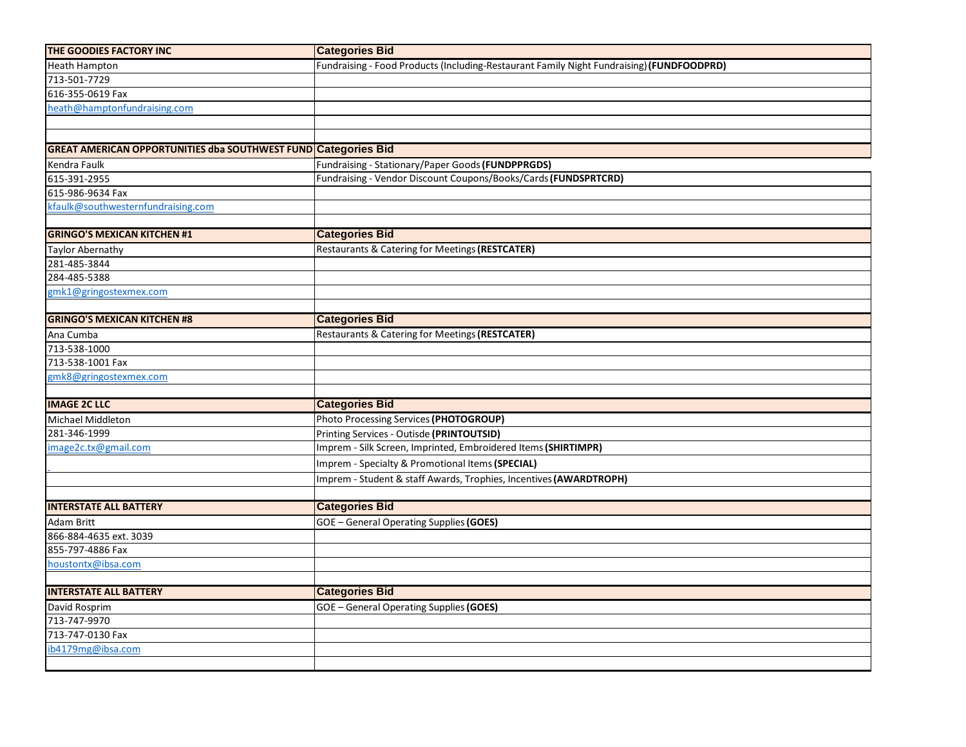| THE GOODIES FACTORY INC                                               | <b>Categories Bid</b>                                                                     |  |  |  |
|-----------------------------------------------------------------------|-------------------------------------------------------------------------------------------|--|--|--|
| Heath Hampton                                                         | Fundraising - Food Products (Including-Restaurant Family Night Fundraising) (FUNDFOODPRD) |  |  |  |
| 713-501-7729                                                          |                                                                                           |  |  |  |
| 616-355-0619 Fax                                                      |                                                                                           |  |  |  |
| heath@hamptonfundraising.com                                          |                                                                                           |  |  |  |
|                                                                       |                                                                                           |  |  |  |
|                                                                       |                                                                                           |  |  |  |
| <b>GREAT AMERICAN OPPORTUNITIES dba SOUTHWEST FUND Categories Bid</b> |                                                                                           |  |  |  |
| Kendra Faulk                                                          | Fundraising - Stationary/Paper Goods (FUNDPPRGDS)                                         |  |  |  |
| 615-391-2955                                                          | Fundraising - Vendor Discount Coupons/Books/Cards (FUNDSPRTCRD)                           |  |  |  |
| 615-986-9634 Fax                                                      |                                                                                           |  |  |  |
| kfaulk@southwesternfundraising.com                                    |                                                                                           |  |  |  |
|                                                                       |                                                                                           |  |  |  |
| <b>GRINGO'S MEXICAN KITCHEN #1</b>                                    | <b>Categories Bid</b>                                                                     |  |  |  |
| <b>Taylor Abernathy</b>                                               | Restaurants & Catering for Meetings (RESTCATER)                                           |  |  |  |
| 281-485-3844                                                          |                                                                                           |  |  |  |
| 284-485-5388                                                          |                                                                                           |  |  |  |
| gmk1@gringostexmex.com                                                |                                                                                           |  |  |  |
|                                                                       |                                                                                           |  |  |  |
| <b>GRINGO'S MEXICAN KITCHEN #8</b>                                    | <b>Categories Bid</b>                                                                     |  |  |  |
| Ana Cumba                                                             | Restaurants & Catering for Meetings (RESTCATER)                                           |  |  |  |
| 713-538-1000                                                          |                                                                                           |  |  |  |
| 713-538-1001 Fax                                                      |                                                                                           |  |  |  |
| gmk8@gringostexmex.com                                                |                                                                                           |  |  |  |
|                                                                       |                                                                                           |  |  |  |
| <b>IMAGE 2C LLC</b>                                                   | <b>Categories Bid</b>                                                                     |  |  |  |
| Michael Middleton                                                     | Photo Processing Services (PHOTOGROUP)                                                    |  |  |  |
| 281-346-1999                                                          | Printing Services - Outisde (PRINTOUTSID)                                                 |  |  |  |
| image2c.tx@gmail.com                                                  | Imprem - Silk Screen, Imprinted, Embroidered Items (SHIRTIMPR)                            |  |  |  |
|                                                                       | Imprem - Specialty & Promotional Items (SPECIAL)                                          |  |  |  |
|                                                                       | Imprem - Student & staff Awards, Trophies, Incentives (AWARDTROPH)                        |  |  |  |
|                                                                       |                                                                                           |  |  |  |
| <b>INTERSTATE ALL BATTERY</b>                                         | <b>Categories Bid</b>                                                                     |  |  |  |
| Adam Britt                                                            | GOE - General Operating Supplies (GOES)                                                   |  |  |  |
| 866-884-4635 ext. 3039                                                |                                                                                           |  |  |  |
| 855-797-4886 Fax                                                      |                                                                                           |  |  |  |
| houstontx@ibsa.com                                                    |                                                                                           |  |  |  |
|                                                                       |                                                                                           |  |  |  |
| <b>INTERSTATE ALL BATTERY</b>                                         | <b>Categories Bid</b>                                                                     |  |  |  |
| David Rosprim                                                         | GOE - General Operating Supplies (GOES)                                                   |  |  |  |
| 713-747-9970                                                          |                                                                                           |  |  |  |
| 713-747-0130 Fax                                                      |                                                                                           |  |  |  |
| ib4179mg@ibsa.com                                                     |                                                                                           |  |  |  |
|                                                                       |                                                                                           |  |  |  |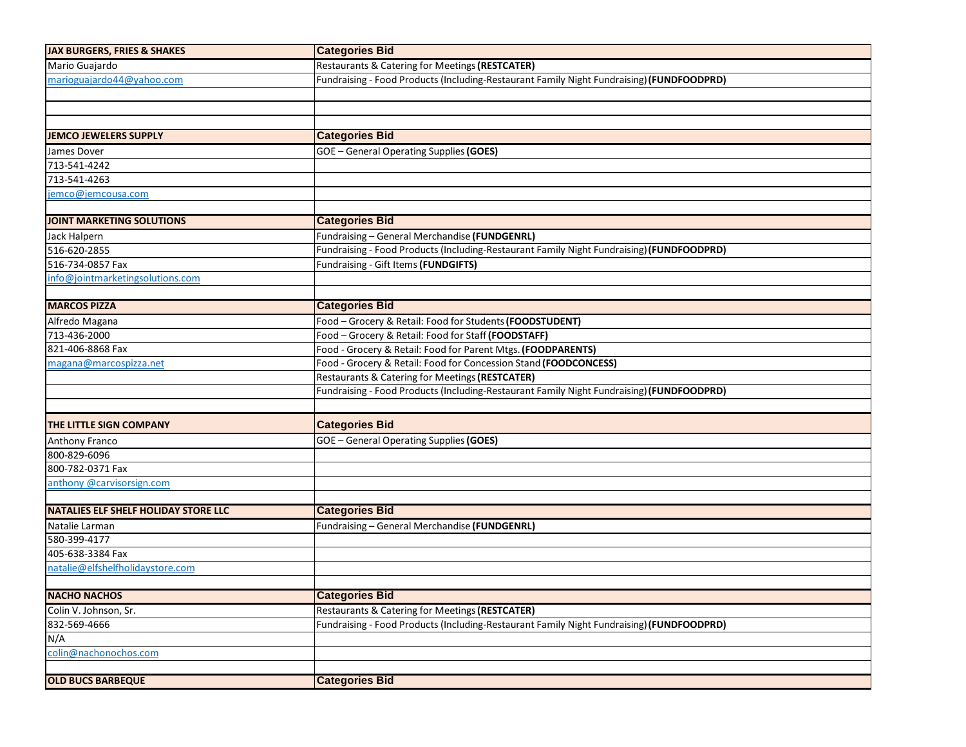| <b>JAX BURGERS, FRIES &amp; SHAKES</b>      | <b>Categories Bid</b>                                                                     |  |  |
|---------------------------------------------|-------------------------------------------------------------------------------------------|--|--|
| Mario Guajardo                              | Restaurants & Catering for Meetings (RESTCATER)                                           |  |  |
| marioguajardo44@yahoo.com                   | Fundraising - Food Products (Including-Restaurant Family Night Fundraising) (FUNDFOODPRD) |  |  |
|                                             |                                                                                           |  |  |
|                                             |                                                                                           |  |  |
|                                             |                                                                                           |  |  |
| <b>JEMCO JEWELERS SUPPLY</b>                | <b>Categories Bid</b>                                                                     |  |  |
| James Dover                                 | <b>GOE</b> - General Operating Supplies (GOES)                                            |  |  |
| 713-541-4242                                |                                                                                           |  |  |
| 713-541-4263                                |                                                                                           |  |  |
| jemco@jemcousa.com                          |                                                                                           |  |  |
|                                             |                                                                                           |  |  |
| <b>JOINT MARKETING SOLUTIONS</b>            | <b>Categories Bid</b>                                                                     |  |  |
| Jack Halpern                                | Fundraising - General Merchandise (FUNDGENRL)                                             |  |  |
| 516-620-2855                                | Fundraising - Food Products (Including-Restaurant Family Night Fundraising) (FUNDFOODPRD) |  |  |
| 516-734-0857 Fax                            | Fundraising - Gift Items (FUNDGIFTS)                                                      |  |  |
| info@jointmarketingsolutions.com            |                                                                                           |  |  |
|                                             |                                                                                           |  |  |
| <b>MARCOS PIZZA</b>                         | <b>Categories Bid</b>                                                                     |  |  |
| Alfredo Magana                              | Food - Grocery & Retail: Food for Students (FOODSTUDENT)                                  |  |  |
| 713-436-2000                                | Food - Grocery & Retail: Food for Staff (FOODSTAFF)                                       |  |  |
| 821-406-8868 Fax                            | Food - Grocery & Retail: Food for Parent Mtgs. (FOODPARENTS)                              |  |  |
| magana@marcospizza.net                      | Food - Grocery & Retail: Food for Concession Stand (FOODCONCESS)                          |  |  |
|                                             | Restaurants & Catering for Meetings (RESTCATER)                                           |  |  |
|                                             | Fundraising - Food Products (Including-Restaurant Family Night Fundraising) (FUNDFOODPRD) |  |  |
|                                             |                                                                                           |  |  |
| THE LITTLE SIGN COMPANY                     | <b>Categories Bid</b>                                                                     |  |  |
| Anthony Franco                              | <b>GOE</b> - General Operating Supplies (GOES)                                            |  |  |
| 800-829-6096                                |                                                                                           |  |  |
| 800-782-0371 Fax                            |                                                                                           |  |  |
| anthony @carvisorsign.com                   |                                                                                           |  |  |
|                                             |                                                                                           |  |  |
| <b>NATALIES ELF SHELF HOLIDAY STORE LLC</b> | <b>Categories Bid</b>                                                                     |  |  |
| Natalie Larman                              | Fundraising - General Merchandise (FUNDGENRL)                                             |  |  |
| 580-399-4177                                |                                                                                           |  |  |
| 405-638-3384 Fax                            |                                                                                           |  |  |
| natalie@elfshelfholidaystore.com            |                                                                                           |  |  |
|                                             |                                                                                           |  |  |
| <b>NACHO NACHOS</b>                         | <b>Categories Bid</b>                                                                     |  |  |
| Colin V. Johnson, Sr.                       | Restaurants & Catering for Meetings (RESTCATER)                                           |  |  |
| 832-569-4666                                | Fundraising - Food Products (Including-Restaurant Family Night Fundraising) (FUNDFOODPRD) |  |  |
| N/A                                         |                                                                                           |  |  |
| colin@nachonochos.com                       |                                                                                           |  |  |
|                                             |                                                                                           |  |  |
| <b>OLD BUCS BARBEQUE</b>                    | <b>Categories Bid</b>                                                                     |  |  |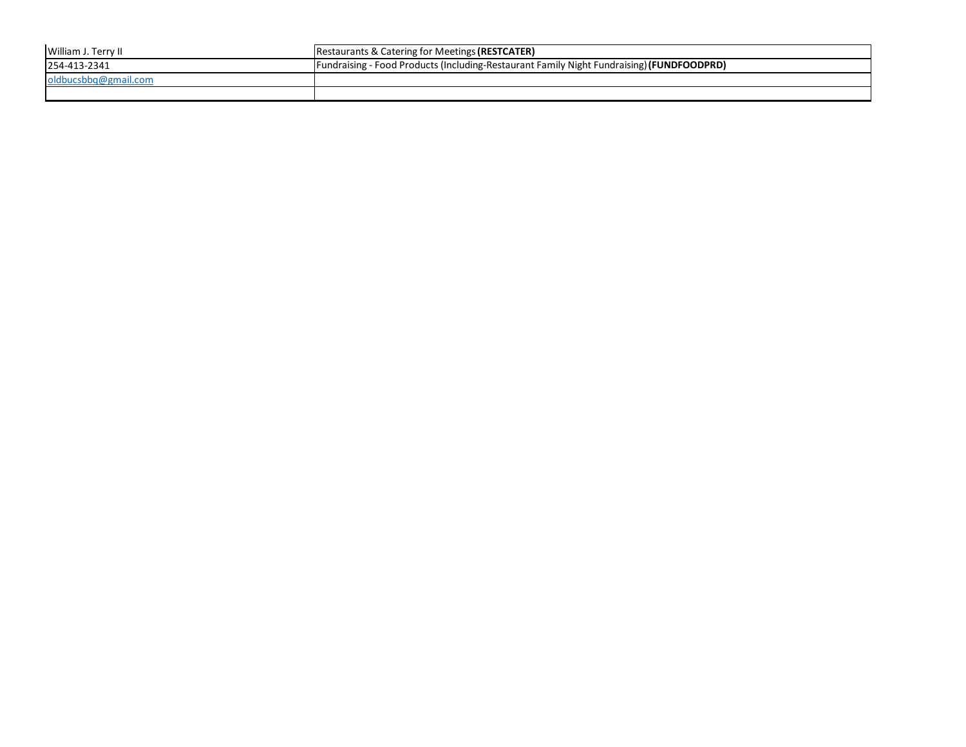| William J. Terry II  | <b>Restaurants &amp; Catering for Meetings (RESTCATER)</b>                                 |
|----------------------|--------------------------------------------------------------------------------------------|
| 254-413-2341         | [Fundraising - Food Products (Including-Restaurant Family Night Fundraising) (FUNDFOODPRD) |
| oldbucsbbq@gmail.com |                                                                                            |
|                      |                                                                                            |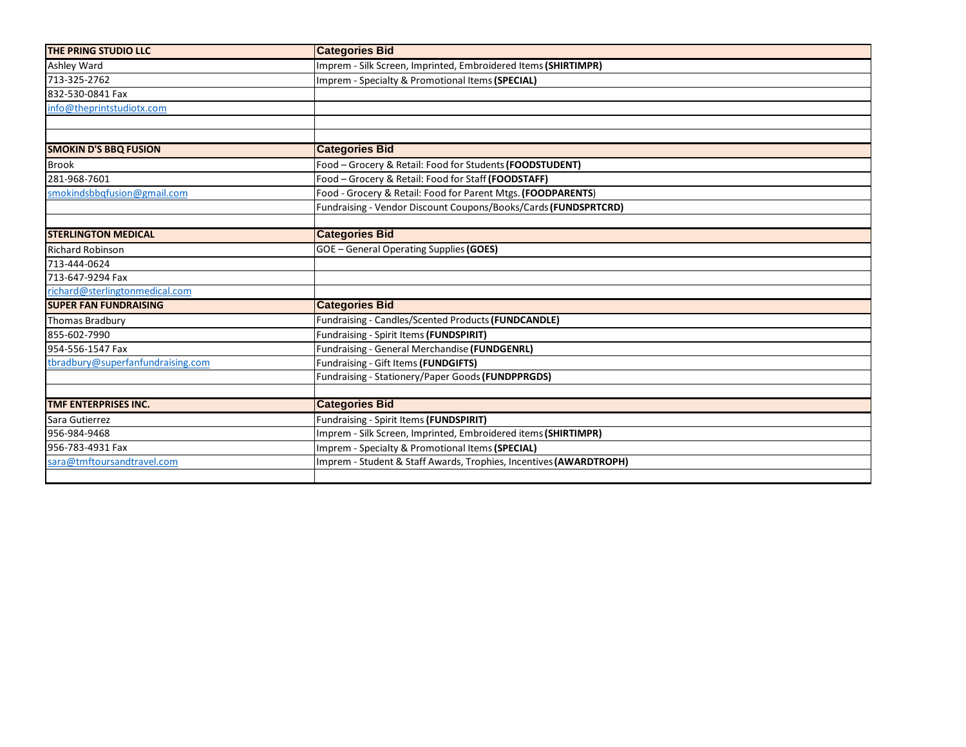| THE PRING STUDIO LLC              | <b>Categories Bid</b>                                              |
|-----------------------------------|--------------------------------------------------------------------|
| Ashley Ward                       | Imprem - Silk Screen, Imprinted, Embroidered Items (SHIRTIMPR)     |
| 713-325-2762                      | Imprem - Specialty & Promotional Items (SPECIAL)                   |
| 832-530-0841 Fax                  |                                                                    |
| info@theprintstudiotx.com         |                                                                    |
|                                   |                                                                    |
|                                   |                                                                    |
| <b>SMOKIN D'S BBQ FUSION</b>      | <b>Categories Bid</b>                                              |
| <b>Brook</b>                      | Food - Grocery & Retail: Food for Students (FOODSTUDENT)           |
| 281-968-7601                      | Food - Grocery & Retail: Food for Staff (FOODSTAFF)                |
| smokindsbbqfusion@gmail.com       | Food - Grocery & Retail: Food for Parent Mtgs. (FOODPARENTS)       |
|                                   | Fundraising - Vendor Discount Coupons/Books/Cards (FUNDSPRTCRD)    |
|                                   |                                                                    |
| <b>STERLINGTON MEDICAL</b>        | <b>Categories Bid</b>                                              |
| <b>Richard Robinson</b>           | GOE - General Operating Supplies (GOES)                            |
| 713-444-0624                      |                                                                    |
| 713-647-9294 Fax                  |                                                                    |
| richard@sterlingtonmedical.com    |                                                                    |
| <b>SUPER FAN FUNDRAISING</b>      | <b>Categories Bid</b>                                              |
| <b>Thomas Bradbury</b>            | Fundraising - Candles/Scented Products (FUNDCANDLE)                |
| 855-602-7990                      | Fundraising - Spirit Items (FUNDSPIRIT)                            |
| 954-556-1547 Fax                  | Fundraising - General Merchandise (FUNDGENRL)                      |
| tbradbury@superfanfundraising.com | Fundraising - Gift Items (FUNDGIFTS)                               |
|                                   | Fundraising - Stationery/Paper Goods (FUNDPPRGDS)                  |
|                                   |                                                                    |
| TMF ENTERPRISES INC.              | <b>Categories Bid</b>                                              |
| Sara Gutierrez                    | Fundraising - Spirit Items (FUNDSPIRIT)                            |
| 956-984-9468                      | Imprem - Silk Screen, Imprinted, Embroidered items (SHIRTIMPR)     |
| 956-783-4931 Fax                  | Imprem - Specialty & Promotional Items (SPECIAL)                   |
| sara@tmftoursandtravel.com        | Imprem - Student & Staff Awards, Trophies, Incentives (AWARDTROPH) |
|                                   |                                                                    |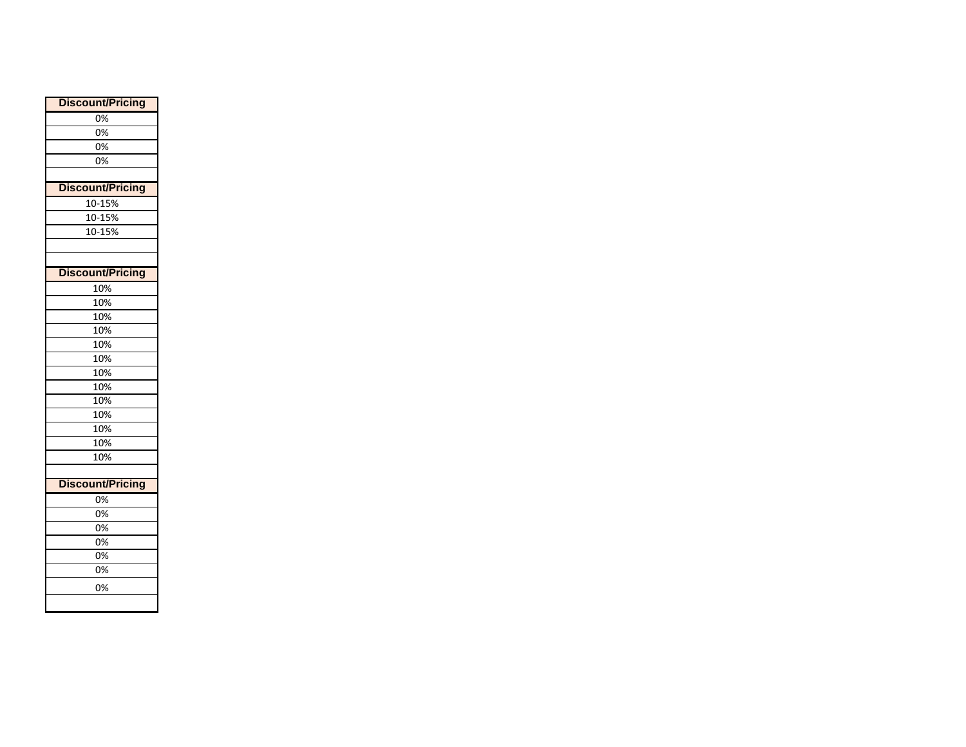| <b>Discount/Pricing</b> |
|-------------------------|
| 0%                      |
| 0%                      |
| 0%                      |
| 0%                      |
|                         |
| <b>Discount/Pricing</b> |
| 10-15%                  |
| 10-15%                  |
| 10-15%                  |
|                         |
|                         |
| <b>Discount/Pricing</b> |
| 10%                     |
| 10%                     |
| 10%                     |
| 10%                     |
| 10%                     |
| 10%                     |
| 10%                     |
| 10%                     |
| 10%                     |
| 10%                     |
| 10%                     |
| 10%                     |
| 10%                     |
|                         |
| <b>Discount/Pricing</b> |
| 0%                      |
| 0%                      |
| 0%                      |
| 0%                      |
| 0%                      |
| 0%                      |
| 0%                      |
|                         |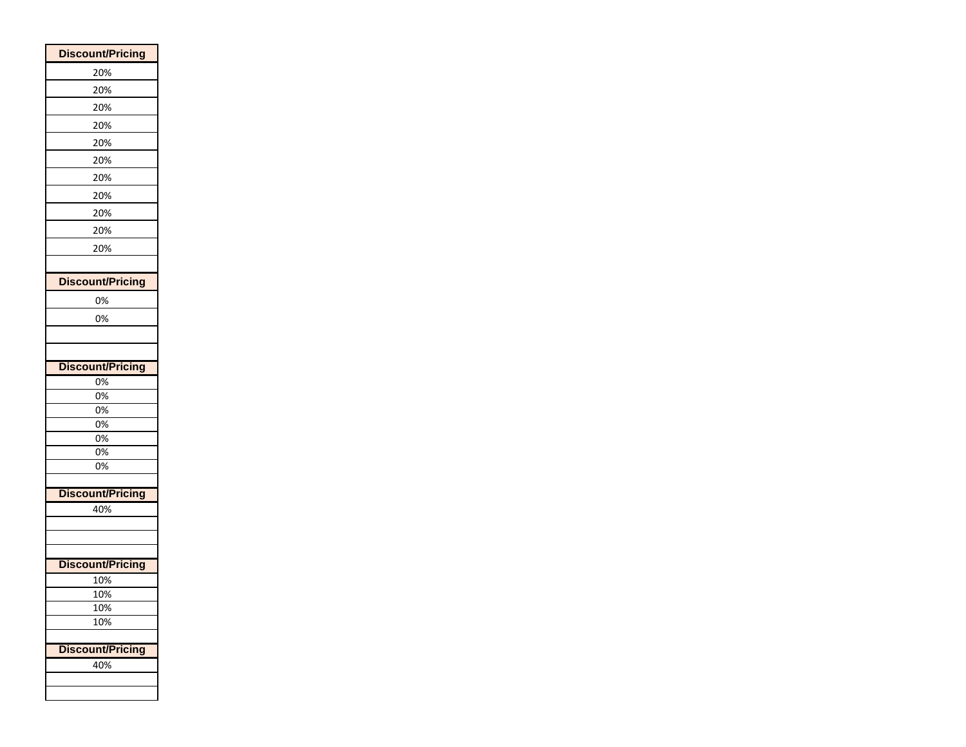| <b>Discount/Pricing</b> |
|-------------------------|
| 20%                     |
| 20%                     |
| 20%                     |
| 20%                     |
| 20%                     |
| 20%                     |
| 20%                     |
| 20%                     |
| 20%                     |
| 20%                     |
| 20%                     |
|                         |
| <b>Discount/Pricing</b> |
| 0%                      |
| 0%                      |
|                         |
|                         |
| <b>Discount/Pricing</b> |
| 0%                      |
| 0%                      |
| 0%<br>0%                |
| 0%                      |
| 0%                      |
| 0%                      |
|                         |
| <b>Discount/Pricing</b> |
| 40%                     |
|                         |
|                         |
| <b>Discount/Pricing</b> |
| 10%                     |
| 10%                     |
| 10%                     |
| 10%                     |
|                         |
| <b>Discount/Pricing</b> |
| 40%                     |
|                         |
|                         |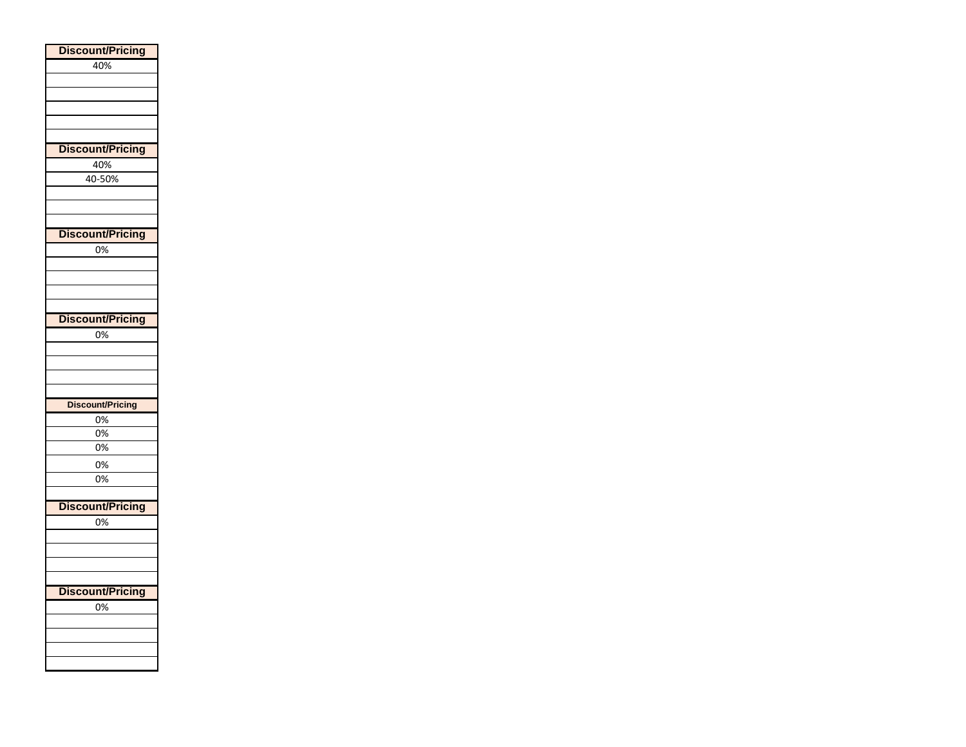| <b>Discount/Pricing</b> |
|-------------------------|
| 40%                     |
|                         |
|                         |
|                         |
|                         |
|                         |
| <b>Discount/Pricing</b> |
| 40%                     |
|                         |
| 40-50%                  |
|                         |
|                         |
|                         |
| <b>Discount/Pricing</b> |
| 0%                      |
|                         |
|                         |
|                         |
|                         |
| <b>Discount/Pricing</b> |
| 0%                      |
|                         |
|                         |
|                         |
|                         |
|                         |
| Discount/Pricing        |
| 0%                      |
| 0%                      |
| 0%                      |
| 0%                      |
| 0%                      |
|                         |
|                         |
| <b>Discount/Pricing</b> |
| 0%                      |
|                         |
|                         |
|                         |
|                         |
| <b>Discount/Pricing</b> |
| $\overline{0\%}$        |
|                         |
|                         |
|                         |
|                         |
|                         |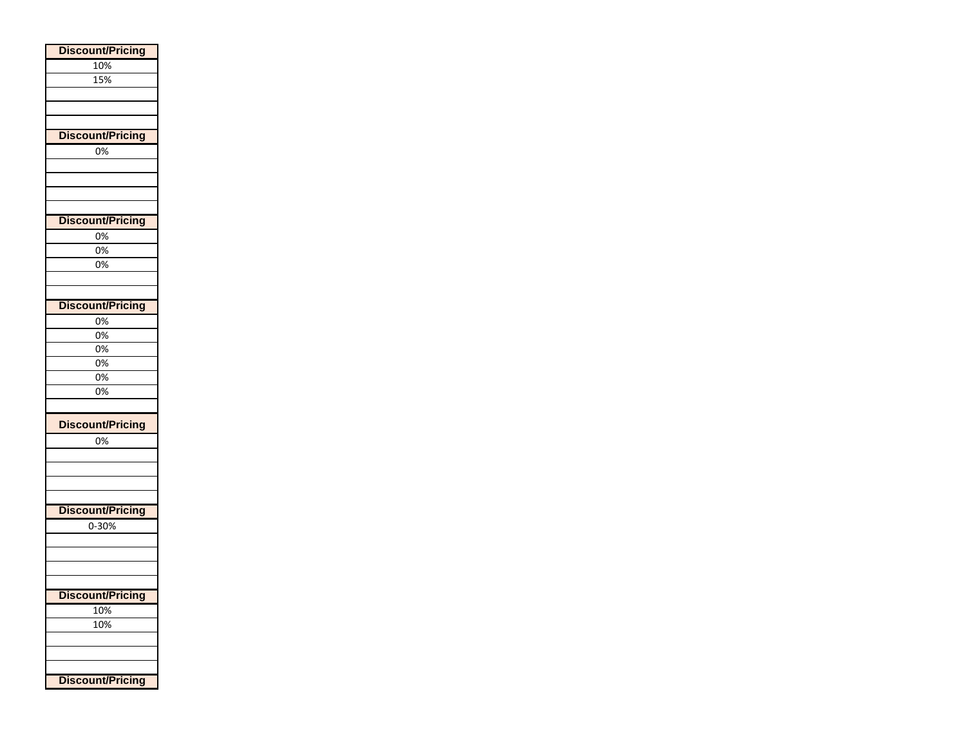| <b>Discount/Pricing</b> |  |
|-------------------------|--|
| 10%                     |  |
| 15%                     |  |
|                         |  |
|                         |  |
|                         |  |
| <b>Discount/Pricing</b> |  |
| 0%                      |  |
|                         |  |
|                         |  |
|                         |  |
|                         |  |
| <b>Discount/Pricing</b> |  |
| 0%                      |  |
| 0%                      |  |
| 0%                      |  |
|                         |  |
|                         |  |
| <b>Discount/Pricing</b> |  |
| 0%                      |  |
| 0%                      |  |
| 0%                      |  |
| 0%                      |  |
| 0%                      |  |
| 0%                      |  |
|                         |  |
| <b>Discount/Pricing</b> |  |
| 0%                      |  |
|                         |  |
|                         |  |
|                         |  |
|                         |  |
| <b>Discount/Pricing</b> |  |
| 0-30%                   |  |
|                         |  |
|                         |  |
|                         |  |
|                         |  |
| <b>Discount/Pricing</b> |  |
| 10%                     |  |
| 10%                     |  |
|                         |  |
|                         |  |
| <b>Discount/Pricing</b> |  |
|                         |  |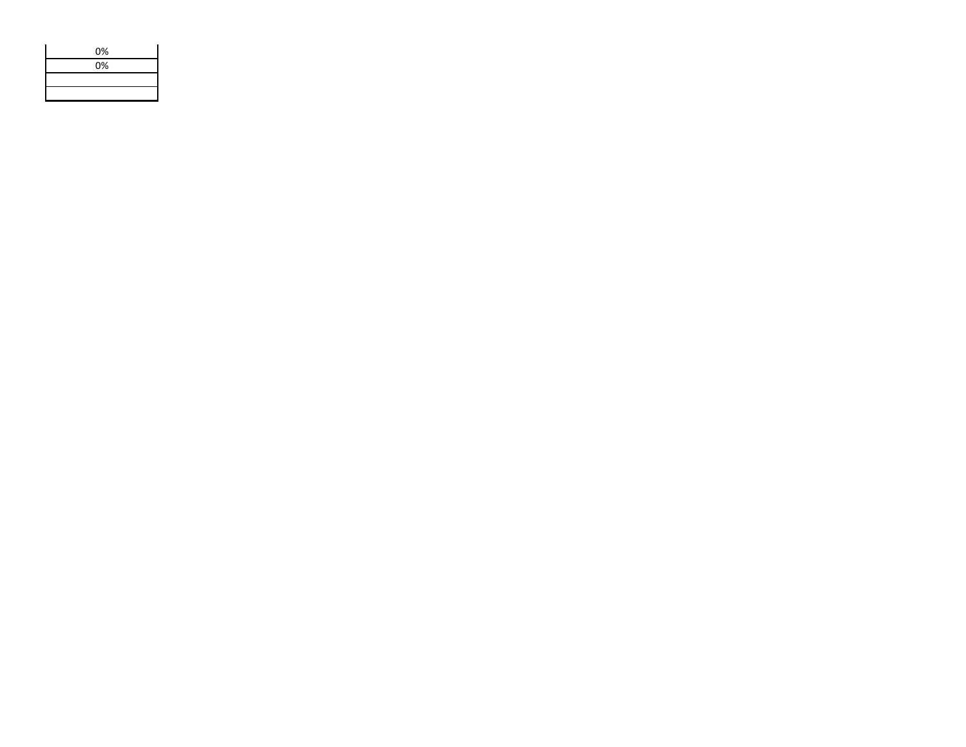| 0% |
|----|
| 0% |
|    |
|    |